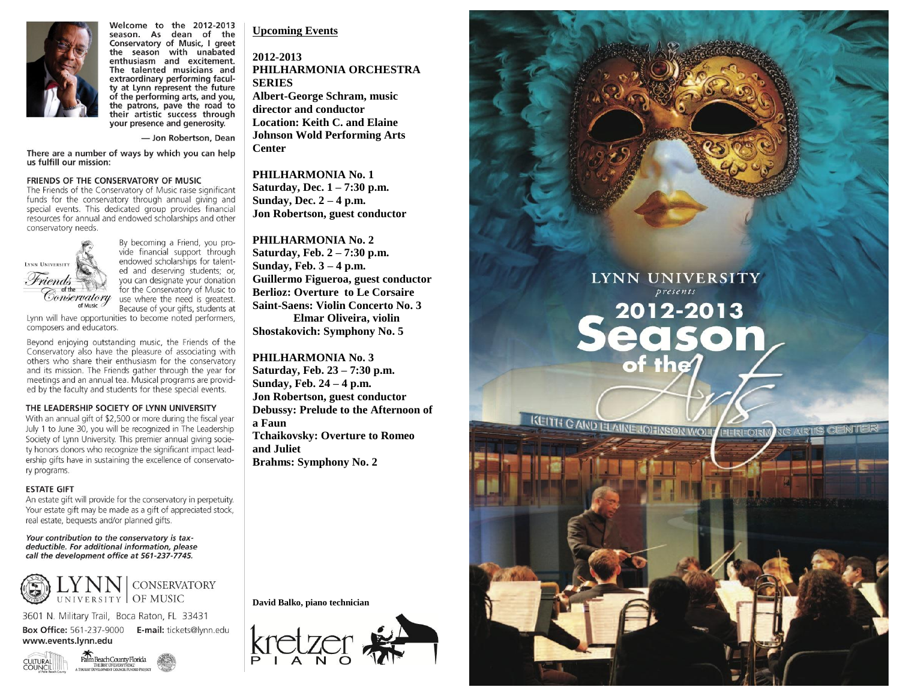

Welcome to the 2012-2013 season. As dean of the Conservatory of Music, I greet the season with unabated enthusiasm and excitement. The talented musicians and extraordinary performing faculty at Lynn represent the future of the performing arts, and you, the patrons, pave the road to their artistic success through your presence and generosity.

- Jon Robertson, Dean

There are a number of ways by which you can help us fulfill our mission:

### FRIENDS OF THE CONSERVATORY OF MUSIC

The Friends of the Conservatory of Music raise significant funds for the conservatory through annual giving and special events. This dedicated group provides financial resources for annual and endowed scholarships and other conservatory needs.



By becoming a Friend, you provide financial support through endowed scholarships for talented and deserving students; or, you can designate your donation for the Conservatory of Music to use where the need is greatest. Because of your gifts, students at

Lynn will have opportunities to become noted performers, composers and educators.

Beyond enjoying outstanding music, the Friends of the Conservatory also have the pleasure of associating with others who share their enthusiasm for the conservatory and its mission. The Friends gather through the year for meetings and an annual tea. Musical programs are provided by the faculty and students for these special events.

### THE LEADERSHIP SOCIETY OF LYNN UNIVERSITY

With an annual gift of \$2,500 or more during the fiscal year July 1 to June 30, you will be recognized in The Leadership Society of Lynn University. This premier annual giving society honors donors who recognize the significant impact leadership gifts have in sustaining the excellence of conservatory programs.

### **ESTATE GIFT**

An estate gift will provide for the conservatory in perpetuity. Your estate gift may be made as a gift of appreciated stock, real estate, bequests and/or planned gifts.

Your contribution to the conservatory is taxdeductible. For additional information, please call the development office at 561-237-7745.



3601 N. Military Trail, Boca Raton, FL 33431 Box Office: 561-237-9000 E-mail: tickets@lynn.edu www.events.lynn.edu



**Upcoming Events** 

**2012-2013 PHILHARMONIA ORCHESTRA SERIES Albert-George Schram, music** 

**director and conductor Location: Keith C. and Elaine Johnson Wold Performing Arts Center**

#### **PHILHARMONIA No. 1**

**Saturday, Dec. 1 – 7:30 p.m. Sunday, Dec. 2 – 4 p.m. Jon Robertson, guest conductor**

**PHILHARMONIA No. 2 Saturday, Feb. 2 – 7:30 p.m. Sunday, Feb. 3 – 4 p.m. Guillermo Figueroa, guest conductor Berlioz: Overture to Le Corsaire Saint-Saens: Violin Concerto No. 3 Elmar Oliveira, violin Shostakovich: Symphony No. 5**

LYNN UNIVERSITY

presents

2012-2013

KEITH C AND ELAINE JOHNSON WOLF

eason

 $P = R = O R$ 

### **PHILHARMONIA No. 3**

**Saturday, Feb. 23 – 7:30 p.m. Sunday, Feb. 24 – 4 p.m. Jon Robertson, guest conductor Debussy: Prelude to the Afternoon of a Faun Tchaikovsky: Overture to Romeo and Juliet Brahms: Symphony No. 2**

**David Balko, piano technician**

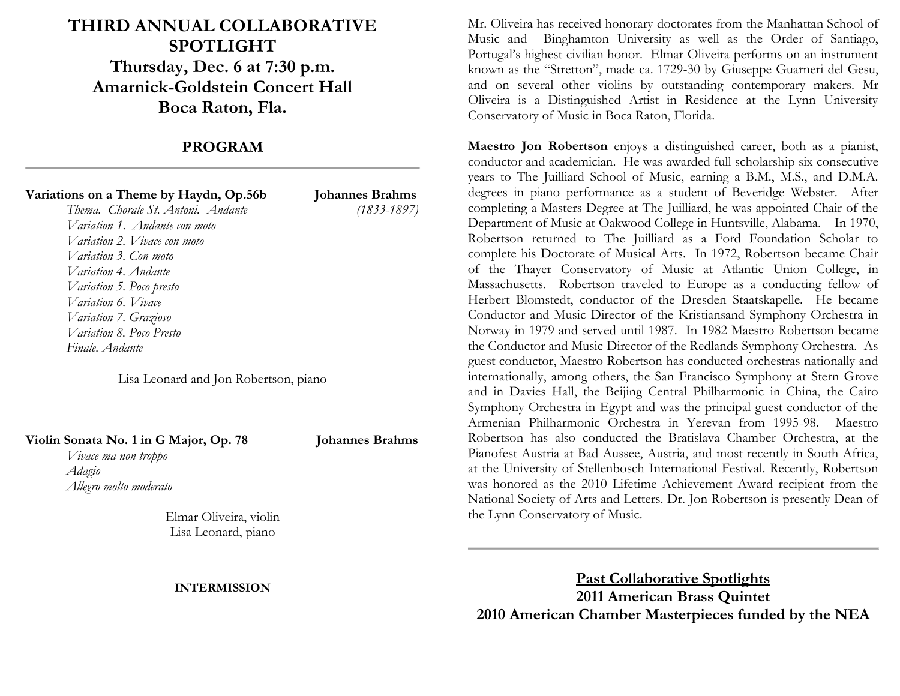# **THIRD ANNUAL COLLABORATIVE SPOTLIGHT Thursday, Dec. 6 at 7:30 p.m. Amarnick-Goldstein Concert Hall Boca Raton, Fla.**

## **PROGRAM**

| Variations on a Theme by Haydn, Op.56b | <b>Johannes Brahms</b> |
|----------------------------------------|------------------------|
| Thema. Chorale St. Antoni. Andante     | $(1833 - 1897)$        |
| Variation 1. Andante con moto          |                        |
| Variation 2. Vivace con moto           |                        |
| Variation 3. Con moto                  |                        |
| Variation 4. Andante                   |                        |
| Variation 5. Poco presto               |                        |

*Variation 6. Vivace Variation 7. Grazioso Variation 8. Poco Presto Finale. Andante*

Lisa Leonard and Jon Robertson, piano

### **Violin Sonata No. 1 in G Major, Op. 78 Johannes Brahms**

*Vivace ma non troppo Adagio Allegro molto moderato*

Elmar Oliveira, violin Lisa Leonard, piano

### **INTERMISSION**

Mr. Oliveira has received honorary doctorates from the Manhattan School of Music and Binghamton University as well as the Order of Santiago, Portugal's highest civilian honor. Elmar Oliveira performs on an instrument known as the "Stretton", made ca. 1729-30 by Giuseppe Guarneri del Gesu, and on several other violins by outstanding contemporary makers. Mr Oliveira is a Distinguished Artist in Residence at the Lynn University Conservatory of Music in Boca Raton, Florida.

**Maestro Jon Robertson** enjoys a distinguished career, both as a pianist, conductor and academician. He was awarded full scholarship six consecutive years to The Juilliard School of Music, earning a B.M., M.S., and D.M.A. degrees in piano performance as a student of Beveridge Webster. After completing a Masters Degree at The Juilliard, he was appointed Chair of the Department of Music at Oakwood College in Huntsville, Alabama. In 1970, Robertson returned to The Juilliard as a Ford Foundation Scholar to complete his Doctorate of Musical Arts. In 1972, Robertson became Chair of the Thayer Conservatory of Music at Atlantic Union College, in Massachusetts. Robertson traveled to Europe as a conducting fellow of Herbert Blomstedt, conductor of the Dresden Staatskapelle. He became Conductor and Music Director of the Kristiansand Symphony Orchestra in Norway in 1979 and served until 1987. In 1982 Maestro Robertson became the Conductor and Music Director of the Redlands Symphony Orchestra. As guest conductor, Maestro Robertson has conducted orchestras nationally and internationally, among others, the San Francisco Symphony at Stern Grove and in Davies Hall, the Beijing Central Philharmonic in China, the Cairo Symphony Orchestra in Egypt and was the principal guest conductor of the Armenian Philharmonic Orchestra in Yerevan from 1995-98. Maestro Robertson has also conducted the Bratislava Chamber Orchestra, at the Pianofest Austria at Bad Aussee, Austria, and most recently in South Africa, at the University of Stellenbosch International Festival. Recently, Robertson was honored as the 2010 Lifetime Achievement Award recipient from the National Society of Arts and Letters. Dr. Jon Robertson is presently Dean of the Lynn Conservatory of Music.

**Past Collaborative Spotlights 2011 American Brass Quintet 2010 American Chamber Masterpieces funded by the NEA**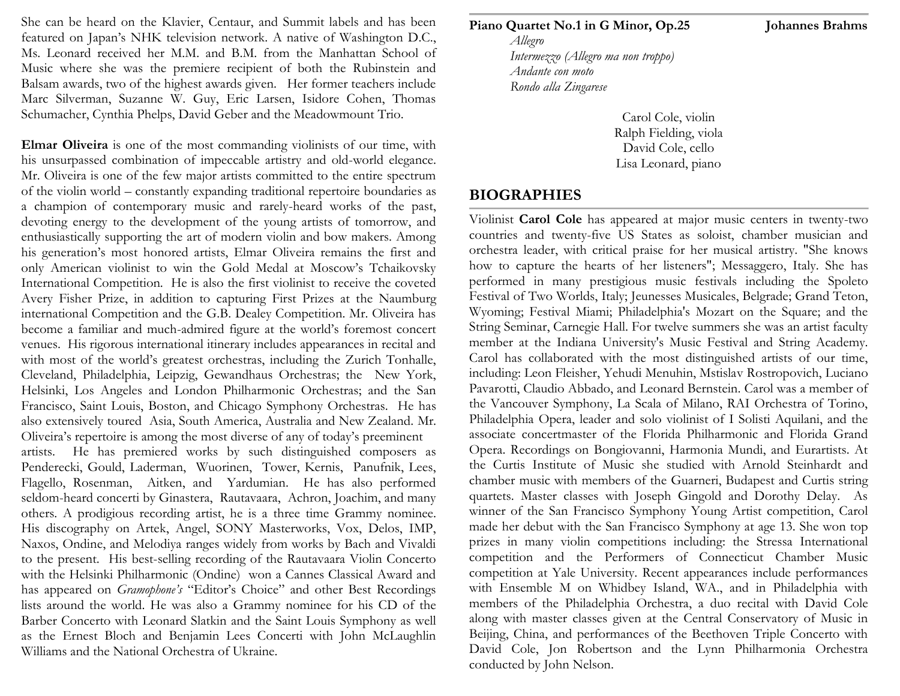She can be heard on the Klavier, Centaur, and Summit labels and has been featured on Japan's NHK television network. A native of Washington D.C., Ms. Leonard received her M.M. and B.M. from the Manhattan School of Music where she was the premiere recipient of both the Rubinstein and Balsam awards, two of the highest awards given. Her former teachers include Marc Silverman, Suzanne W. Guy, Eric Larsen, Isidore Cohen, Thomas Schumacher, Cynthia Phelps, David Geber and the Meadowmount Trio.

**Elmar Oliveira** is one of the most commanding violinists of our time, with his unsurpassed combination of impeccable artistry and old-world elegance. Mr. Oliveira is one of the few major artists committed to the entire spectrum of the violin world – constantly expanding traditional repertoire boundaries as a champion of contemporary music and rarely-heard works of the past, devoting energy to the development of the young artists of tomorrow, and enthusiastically supporting the art of modern violin and bow makers. Among his generation's most honored artists, Elmar Oliveira remains the first and only American violinist to win the Gold Medal at Moscow's Tchaikovsky International Competition. He is also the first violinist to receive the coveted Avery Fisher Prize, in addition to capturing First Prizes at the Naumburg international Competition and the G.B. Dealey Competition. Mr. Oliveira has become a familiar and much-admired figure at the world's foremost concert venues. His rigorous international itinerary includes appearances in recital and with most of the world's greatest orchestras, including the Zurich Tonhalle, Cleveland, Philadelphia, Leipzig, Gewandhaus Orchestras; the New York, Helsinki, Los Angeles and London Philharmonic Orchestras; and the San Francisco, Saint Louis, Boston, and Chicago Symphony Orchestras. He has also extensively toured Asia, South America, Australia and New Zealand. Mr. Oliveira's repertoire is among the most diverse of any of today's preeminent

artists. He has premiered works by such distinguished composers as Penderecki, Gould, Laderman, Wuorinen, Tower, Kernis, Panufnik, Lees, Flagello, Rosenman, Aitken, and Yardumian. He has also performed seldom-heard concerti by Ginastera, Rautavaara, Achron, Joachim, and many others. A prodigious recording artist, he is a three time Grammy nominee. His discography on Artek, Angel, SONY Masterworks, Vox, Delos, IMP, Naxos, Ondine, and Melodiya ranges widely from works by Bach and Vivaldi to the present. His best-selling recording of the Rautavaara Violin Concerto with the Helsinki Philharmonic (Ondine) won a Cannes Classical Award and has appeared on *Gramophone's* "Editor's Choice" and other Best Recordings lists around the world. He was also a Grammy nominee for his CD of the Barber Concerto with Leonard Slatkin and the Saint Louis Symphony as well as the Ernest Bloch and Benjamin Lees Concerti with John McLaughlin Williams and the National Orchestra of Ukraine.

**Piano Quartet No.1 in G Minor, Op.25 Johannes Brahms** 

*Allegro Intermezzo (Allegro ma non troppo) Andante con moto Rondo alla Zingarese*

> Carol Cole, violin Ralph Fielding, viola David Cole, cello Lisa Leonard, piano

## **BIOGRAPHIES**

Violinist **Carol Cole** has appeared at major music centers in twenty-two countries and twenty-five US States as soloist, chamber musician and orchestra leader, with critical praise for her musical artistry. "She knows how to capture the hearts of her listeners"; Messaggero, Italy. She has performed in many prestigious music festivals including the Spoleto Festival of Two Worlds, Italy; Jeunesses Musicales, Belgrade; Grand Teton, Wyoming; Festival Miami; Philadelphia's Mozart on the Square; and the String Seminar, Carnegie Hall. For twelve summers she was an artist faculty member at the Indiana University's Music Festival and String Academy. Carol has collaborated with the most distinguished artists of our time, including: Leon Fleisher, Yehudi Menuhin, Mstislav Rostropovich, Luciano Pavarotti, Claudio Abbado, and Leonard Bernstein. Carol was a member of the Vancouver Symphony, La Scala of Milano, RAI Orchestra of Torino, Philadelphia Opera, leader and solo violinist of I Solisti Aquilani, and the associate concertmaster of the Florida Philharmonic and Florida Grand Opera. Recordings on Bongiovanni, Harmonia Mundi, and Eurartists. At the Curtis Institute of Music she studied with Arnold Steinhardt and chamber music with members of the Guarneri, Budapest and Curtis string quartets. Master classes with Joseph Gingold and Dorothy Delay. As winner of the San Francisco Symphony Young Artist competition, Carol made her debut with the San Francisco Symphony at age 13. She won top prizes in many violin competitions including: the Stressa International competition and the Performers of Connecticut Chamber Music competition at Yale University. Recent appearances include performances with Ensemble M on Whidbey Island, WA., and in Philadelphia with members of the Philadelphia Orchestra, a duo recital with David Cole along with master classes given at the Central Conservatory of Music in Beijing, China, and performances of the Beethoven Triple Concerto with David Cole, Jon Robertson and the Lynn Philharmonia Orchestra conducted by John Nelson.